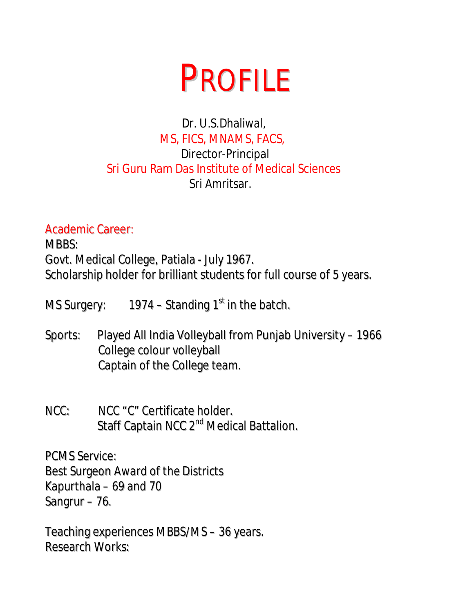# PROFILE

### Dr. U.S.Dhaliwal, MS, FICS, MNAMS, FACS, Director-Principal Sri Guru Ram Das Institute of Medical Sciences Sri Amritsar.

Academic Career:

MBBS: Govt. Medical College, Patiala - July 1967. Scholarship holder for brilliant students for full course of 5 years.

MS Surgery: 1974 – Standing 1<sup>st</sup> in the batch.

- Sports: Played All India Volleyball from Punjab University 1966 College colour volleyball Captain of the College team.
- NCC: NCC "C" Certificate holder. Staff Captain NCC 2<sup>nd</sup> Medical Battalion.

PCMS Service: Best Surgeon Award of the Districts Kapurthala – 69 and 70 Sangrur – 76.

Teaching experiences MBBS/MS – 36 years. Research Works: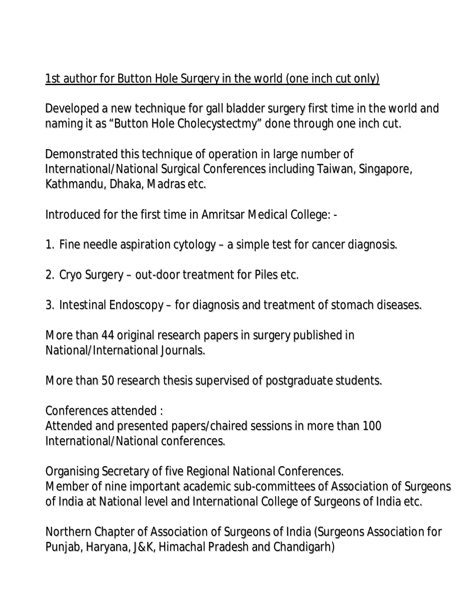## 1st author for Button Hole Surgery in the world (one inch cut only)

Developed a new technique for gall bladder surgery first time in the world and naming it as "Button Hole Cholecystectmy" done through one inch cut.

Demonstrated this technique of operation in large number of International/National Surgical Conferences including Taiwan, Singapore, Kathmandu, Dhaka, Madras etc.

Introduced for the first time in Amritsar Medical College: -

- 1. Fine needle aspiration cytology a simple test for cancer diagnosis.
- 2. Cryo Surgery out-door treatment for Piles etc.
- 3. Intestinal Endoscopy for diagnosis and treatment of stomach diseases.

More than 44 original research papers in surgery published in National/International Journals.

More than 50 research thesis supervised of postgraduate students.

Conferences attended :

Attended and presented papers/chaired sessions in more than 100 International/National conferences.

Organising Secretary of five Regional National Conferences. Member of nine important academic sub-committees of Association of Surgeons of India at National level and International College of Surgeons of India etc.

Northern Chapter of Association of Surgeons of India (Surgeons Association for Punjab, Haryana, J&K, Himachal Pradesh and Chandigarh)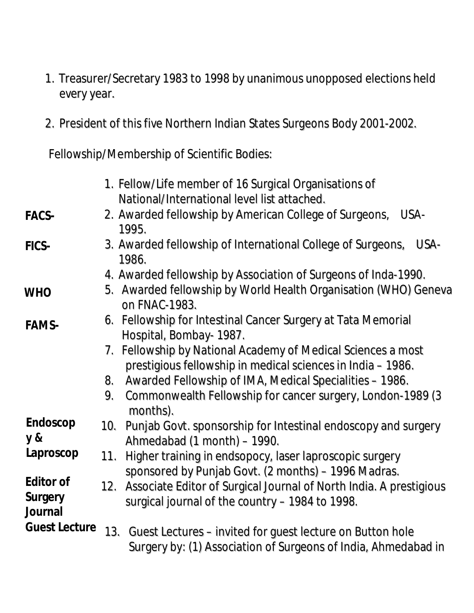- 1. Treasurer/Secretary 1983 to 1998 by unanimous unopposed elections held every year.
- 2. President of this five Northern Indian States Surgeons Body 2001-2002.

Fellowship/Membership of Scientific Bodies:

|                                 | 1. Fellow/Life member of 16 Surgical Organisations of<br>National/International level list attached.                               |
|---------------------------------|------------------------------------------------------------------------------------------------------------------------------------|
| FACS-                           | 2. Awarded fellowship by American College of Surgeons,<br>USA-<br>1995.                                                            |
| FICS-                           | 3. Awarded fellowship of International College of Surgeons,<br>USA-<br>1986.                                                       |
|                                 | 4. Awarded fellowship by Association of Surgeons of Inda-1990.                                                                     |
| <b>WHO</b>                      | 5. Awarded fellowship by World Health Organisation (WHO) Geneva<br>on FNAC-1983.                                                   |
| FAMS-                           | 6. Fellowship for Intestinal Cancer Surgery at Tata Memorial<br>Hospital, Bombay- 1987.                                            |
|                                 | 7. Fellowship by National Academy of Medical Sciences a most<br>prestigious fellowship in medical sciences in India - 1986.        |
|                                 | Awarded Fellowship of IMA, Medical Specialities - 1986.<br>8.                                                                      |
|                                 | Commonwealth Fellowship for cancer surgery, London-1989 (3<br>9.<br>months).                                                       |
| Endoscop<br>y &                 | Punjab Govt. sponsorship for Intestinal endoscopy and surgery<br>10.<br>Ahmedabad (1 month) – 1990.                                |
| Laproscop                       | Higher training in endsopocy, laser laproscopic surgery<br>11.<br>sponsored by Punjab Govt. (2 months) – 1996 Madras.              |
| Editor of<br>Surgery<br>Journal | 12. Associate Editor of Surgical Journal of North India. A prestigious<br>surgical journal of the country - 1984 to 1998.          |
| <b>Guest Lecture</b>            | Guest Lectures – invited for guest lecture on Button hole<br>13.<br>Surgery by: (1) Association of Surgeons of India, Ahmedabad in |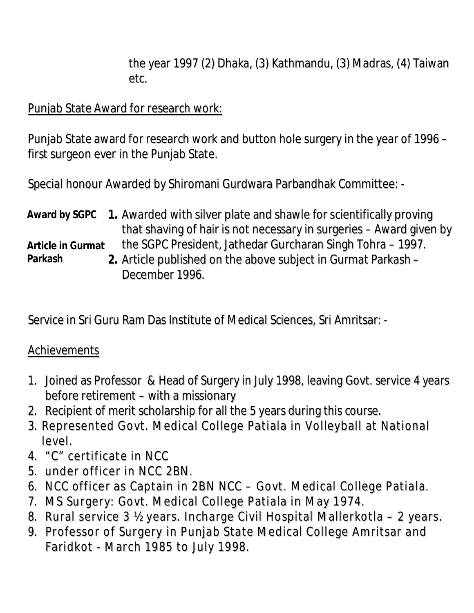the year 1997 (2) Dhaka, (3) Kathmandu, (3) Madras, (4) Taiwan etc.

#### Punjab State Award for research work:

Punjab State award for research work and button hole surgery in the year of 1996 – first surgeon ever in the Punjab State.

Special honour Awarded by Shiromani Gurdwara Parbandhak Committee: -

|                   | Award by SGPC 1. Awarded with silver plate and shawle for scientifically proving |
|-------------------|----------------------------------------------------------------------------------|
|                   | that shaving of hair is not necessary in surgeries – Award given by              |
| Article in Gurmat | the SGPC President, Jathedar Gurcharan Singh Tohra – 1997.                       |
| Parkash           | 2. Article published on the above subject in Gurmat Parkash -                    |
|                   | December 1996.                                                                   |

Service in Sri Guru Ram Das Institute of Medical Sciences, Sri Amritsar: -

#### **Achievements**

- 1. Joined as Professor & Head of Surgery in July 1998, leaving Govt. service 4 years before retirement – with a missionary
- 2. Recipient of merit scholarship for all the 5 years during this course.
- 3. Represented Govt. Medical College Patiala in Volleyball at National level.
- 4. "C" certificate in NCC
- 5. under officer in NCC 2BN.
- 6. NCC officer as Captain in 2BN NCC Govt. Medical College Patiala.
- 7. MS Surgery: Govt. Medical College Patiala in May 1974.
- 8. Rural service 3 ½ years. Incharge Civil Hospital Mallerkotla 2 years.
- 9. Professor of Surgery in Punjab State Medical College Amritsar and Faridkot - March 1985 to July 1998.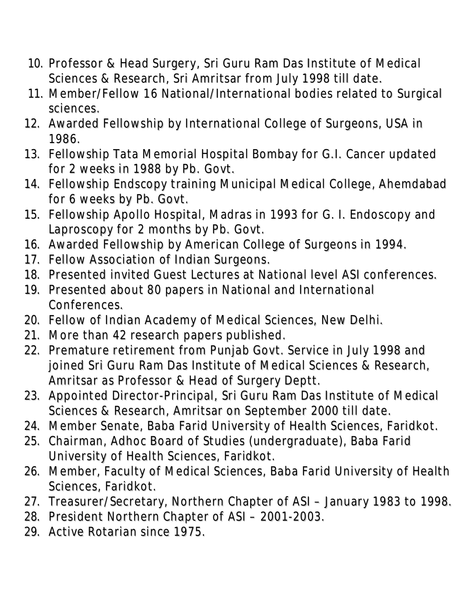- 10. Professor & Head Surgery, Sri Guru Ram Das Institute of Medical Sciences & Research, Sri Amritsar from July 1998 till date.
- 11. Member/Fellow 16 National/International bodies related to Surgical sciences.
- 12. Awarded Fellowship by International College of Surgeons, USA in 1986.
- 13. Fellowship Tata Memorial Hospital Bombay for G.I. Cancer updated for 2 weeks in 1988 by Pb. Govt.
- 14. Fellowship Endscopy training Municipal Medical College, Ahemdabad for 6 weeks by Pb. Govt.
- 15. Fellowship Apollo Hospital, Madras in 1993 for G. I. Endoscopy and Laproscopy for 2 months by Pb. Govt.
- 16. Awarded Fellowship by American College of Surgeons in 1994.
- 17. Fellow Association of Indian Surgeons.
- 18. Presented invited Guest Lectures at National level ASI conferences.
- 19. Presented about 80 papers in National and International Conferences.
- 20. Fellow of Indian Academy of Medical Sciences, New Delhi.
- 21. More than 42 research papers published.
- 22. Premature retirement from Punjab Govt. Service in July 1998 and joined Sri Guru Ram Das Institute of Medical Sciences & Research, Amritsar as Professor & Head of Surgery Deptt.
- 23. Appointed Director-Principal, Sri Guru Ram Das Institute of Medical Sciences & Research, Amritsar on September 2000 till date.
- 24. Member Senate, Baba Farid University of Health Sciences, Faridkot.
- 25. Chairman, Adhoc Board of Studies (undergraduate), Baba Farid University of Health Sciences, Faridkot.
- 26. Member, Faculty of Medical Sciences, Baba Farid University of Health Sciences, Faridkot.
- 27. Treasurer/Secretary, Northern Chapter of ASI January 1983 to 1998.
- 28. President Northern Chapter of ASI 2001-2003.
- 29. Active Rotarian since 1975.